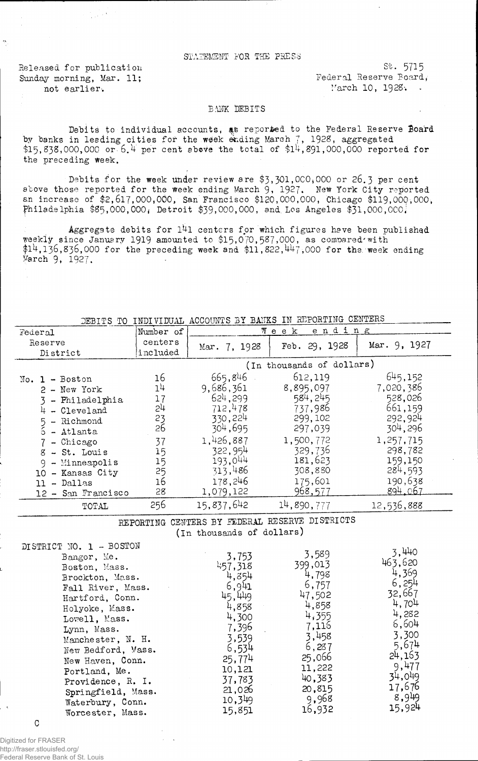## STATEMENT FOR THE PRESS

Sunday morning, Mar. 11; Tederal Reserve Board, not earlier. March 10, 1928.

Released for publication St. 5715

## BANK DEBITS

Debits to individual accounts, as reported to the Federal Reserve Board by banks in leading cities for the week ending March  $\frac{7}{7}$ , 1928, aggregated \$15, 838,000,000 or 6.4 per cent above the total of  $$14,891,000,000$  reported for the preceding Week.

Debits for the week under review are \$3,301,000,000 or 26.3 per cent above those reported for the week ending March 9, 1927. New York City reported an increase of  $$2,617,000,000$ , San Francisco  $$120,000,000$ , Chicago  $$119,000,000$ , Philadelphia \$85,000,000, Detroit \$39,000,000, and Los Angeles \$31,000,000.

Aggregate debits for 141 centers for which figures have been published weekly since January 1919 amounted to  $$15,070,587,000$ , as compared'with  $14,136,836,000$  for the preceding week and  $$11,822,1447,000$  for the week ending March 9, 1927.

DEBITS TO INDIVIDUAL ACCOUNTS BY BANKS IN REPORTING CENTERS

| Federal                                                                                                                                                                                                         | Number of                                                            | ending<br>Week                                                                                                                         |                                                                                                                                       |                                                                                                                                      |
|-----------------------------------------------------------------------------------------------------------------------------------------------------------------------------------------------------------------|----------------------------------------------------------------------|----------------------------------------------------------------------------------------------------------------------------------------|---------------------------------------------------------------------------------------------------------------------------------------|--------------------------------------------------------------------------------------------------------------------------------------|
| Reserve<br>District                                                                                                                                                                                             | centers<br>included                                                  | Mar. 7, 1928                                                                                                                           | Feb. 29, 1928                                                                                                                         | Mar. 9, 1927                                                                                                                         |
|                                                                                                                                                                                                                 |                                                                      |                                                                                                                                        | (In thousands of dollars)                                                                                                             |                                                                                                                                      |
| $No. 1 - Boston$<br>2 - New York<br>- Philadelphia<br>- Cleveland<br>5 - Richmond<br>6<br>- Atlanta<br>- Chicago<br>8 - St. Louis<br>$9 -$ Minneapolis<br>- Kansas City<br>10<br>- Dallas<br>12 - San Francisco | 16<br>14<br>17<br>24<br>23<br>26<br>37<br>15<br>15<br>25<br>16<br>28 | 665,846<br>9,686,361<br>624.299<br>712,478<br>330,224<br>304,695<br>1,426,887<br>322,954<br>193,044<br>313,486<br>178,246<br>1,079,122 | 612,119<br>8,895,097<br>584, 245<br>737,986<br>299,102<br>297,039<br>1,500,772<br>329,736<br>181,623<br>308,880<br>175,601<br>968,577 | 645,152<br>7,020,386<br>528,026<br>661,159<br>292,924<br>304,296<br>1,257,715<br>298,782<br>159,150<br>284,593<br>190,638<br>894.067 |
| TOTAL                                                                                                                                                                                                           | 256                                                                  | 15,837,642                                                                                                                             | 14,890,777                                                                                                                            | 12,536,888                                                                                                                           |

REPORTING CENTERS BY FEDERAL RESERVE DISTRICTS (in thousands of dollars)

DISTRICT NO. 1 - BOSTON Bangor, Me. Boston, Mass. Brockton, Mass. Fall River, Mass. Hartford, Conn. Holyoke, Mass. Lovell, Mass. Lynn, Mass. Manche ster, N. H. New Bedford, Mass. New Haven, Conn. Portland, Me. Providence, R. I. Springfield, Mass. Waterbury, Conn. Worcester, Mass. 3,753 457.318 4,854  $6,941$ 45,449 4,858 4,300 7.396 3.539  $6,534$ 25.774 10,121 37,783 21,026 10,349 15,851 3.589 399.013 4,798 6,757 47,502 4,858 4,355 7,116 3.458 6,287 25,066 11,222 40,383 20,815 9,968 16,932 3,440 463.620 4,369 6,254 32,667 4,704 4,282 6,6o4 3,300 5,674 24,163  $9,477$ 34.049 17,676 8,949 15,924

 $\mathcal{C}$ 

Digitized for FRASER http://fraser.stlouisfed.org/ Federal Reserve Bank of St. Louis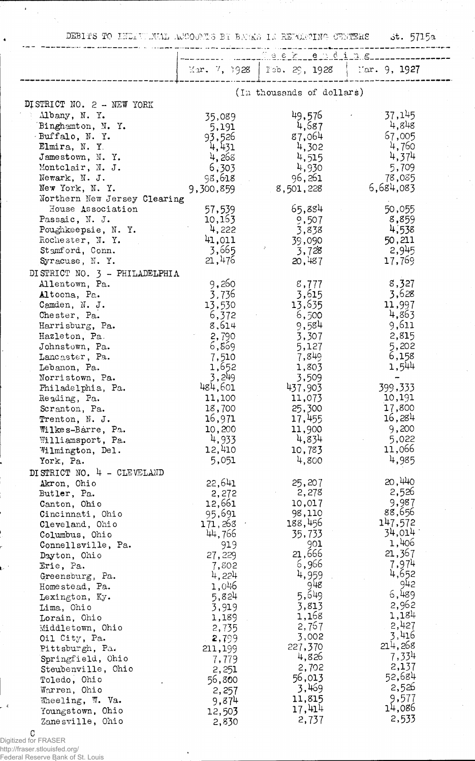DEBITS TO *INDIVUMIAL AJOODITS* BY BATKS IN REPORTING OTHERS ot. 5715a

|                                                   |                           | <u>Seek ending</u>                          |                 |  |
|---------------------------------------------------|---------------------------|---------------------------------------------|-----------------|--|
|                                                   |                           |                                             |                 |  |
|                                                   |                           | Mar. 7, 1928   Feb. 29, 1928   Mar. 9, 1927 |                 |  |
|                                                   | (In thousands of dollars) |                                             |                 |  |
| DISTRICT NO. 2 - NEW YORK                         |                           |                                             |                 |  |
| Albany, N. Y.                                     | 35,089                    | 49,576                                      | 37,145          |  |
| Binghamton, N.Y.                                  | 5,191                     | 4,587                                       | 4,848           |  |
| Buffalo, N.Y.                                     | 93,526                    | 87,064                                      | 67,005          |  |
| Elmira, N.Y.                                      | 4,431                     | 4,302                                       | 4,760           |  |
| Jamestown, N.Y.                                   | 4,268                     | 4,515                                       | 4,374           |  |
| Montclair, N. J.                                  | 6,303                     | 4,930                                       | 5,709           |  |
| Newark, N. J.                                     | 98,618                    | 96,261                                      | 78,085          |  |
| New York, N.Y.                                    | 9,300,859                 | 8,501,228                                   | 6,684,083       |  |
| Northern New Jersey Clearing<br>House Association | 57,539                    | 65,884                                      | 50,055          |  |
| Passaic, N. J.                                    | 10,163                    | 9,507                                       | 8,859           |  |
| Poughkeepsie, N.Y.                                | 4,222                     | 3,838                                       | 4,538           |  |
| Rochester, N.Y.                                   | 41,011                    | 39,090                                      | 50,211          |  |
| Stamford, Conn.                                   | 3,665                     | 3,728                                       | 2,945           |  |
| Syracuse, N.Y.                                    | 21,476                    | 20,487                                      | 17,769          |  |
| DISTRICT NO. 3 - PHILADELPHIA                     |                           |                                             |                 |  |
| Allentown, Pa.                                    | 9,260                     | 8,777                                       | 8,327           |  |
| Altoona, Pa.                                      | 3,736                     | 3,615                                       | 3,628           |  |
| Camden, N. J.                                     | 13,530                    | 13,635                                      | 11,997          |  |
| Chester, Pa.                                      | 6,372                     | 6,500                                       | 4,863           |  |
| Harrisburg, Pa.                                   | 8,614                     | 9,584                                       | 9,611           |  |
| Hazleton, Pa.                                     | 2,790                     | 3,307                                       | 2,815           |  |
| Johnstown, Pa.                                    | 6,869                     | 5,127                                       | 5,202           |  |
| Lancaster, Pa.<br>Lebanon, Pa.                    | 7,510<br>1,652            | 7,849<br>1,803                              | 6,158<br>1,544  |  |
| Norristown, Pa.                                   | 3,249                     | 3,509                                       |                 |  |
| Philadelphia, Pa.                                 | 484,601                   | 437,903                                     | 399,333         |  |
| Reading, Pa.                                      | 11,100                    | 11,073                                      | 10,191          |  |
| Scranton, Pa.                                     | 18,700                    | 25,300                                      | 17,800          |  |
| Trenton, N. J.                                    | 16,971                    | 17,455                                      | 16,284          |  |
| Wilkes-Barre, Pa.                                 | 10,200                    | 11,900                                      | 9,200           |  |
| Williamsport, Pa.                                 | 4,933                     | 4,834                                       | 5,022           |  |
| Wilmington, Del.                                  | 12,410                    | 10,783                                      | 11,066          |  |
| York, Pa.                                         | 5,051                     | 4,800                                       | 4,985           |  |
| DISTRICT NO. 4 - CLEVELAND                        |                           |                                             |                 |  |
| Akron, Ohio                                       | 22,641                    | 25,207                                      | 20,440<br>2,526 |  |
| Butler, Pa.                                       | 2,272<br>12,661           | 2,278<br>10,017                             | 9,987           |  |
| Canton, Ohio<br>Cincinnati, Ohio                  | 95,691                    | 98,110                                      | 88,656          |  |
| Cleveland, Ohio                                   | 171,268                   | 188,456                                     | 147,572         |  |
| Columbus, Ohio                                    | 44,766                    | 35,733                                      | 34,014          |  |
| Connellsville, Pa.                                | 919                       | 901                                         | 1,406           |  |
| Dayton, Ohio                                      | 27,229                    | 21,666                                      | 21,367          |  |
| Erie, Pa.                                         | 7,802                     | 6,966                                       | 7,974           |  |
| Greensburg, Pa.                                   | 4,224                     | 4,959                                       | 4,652           |  |
| Homestead, Pa.                                    | 1,046                     | 948                                         | 942<br>6,489    |  |
| Lexington, Ky.                                    | 5,824                     | 5,649                                       | 2,962           |  |
| Lima, Ohio                                        | 3,919                     | 3,813<br>1,168                              | 1,184           |  |
| Lorain, Ohio<br>Middletown, Ohio                  | 1,189<br>2,735            | 2,767                                       | 2,427           |  |
| Oil City, Pa.                                     | 2,799                     | 3,002                                       | 3,416           |  |
| Pittsburgh, Pa.                                   | 211,199                   | 227,370                                     | 214,268         |  |
| Springfield, Ohio                                 | 7,779                     | 4,826                                       | 7,334           |  |
| Steubenville, Ohio                                | 2,251                     | 2,702                                       | 2,137           |  |
| Toledo, Ohio                                      | 56,800                    | 56,013                                      | 52,684          |  |
| Warren, Ohio                                      | 2,257                     | 3,469                                       | 2,526           |  |
| Wheeling, W. Va.                                  | 9,874                     | 11,815                                      | 9,577           |  |
| Youngstown, Ohio                                  | 12,503                    | 17,414                                      | 14,086<br>2,533 |  |
| Zanesville, Ohio                                  | 2,830                     | 2,737                                       |                 |  |

Digitized for FRASER http://fraser.stlouisfed.org/ Federal Reserve Bank of St. Louis

ł

 $\overline{a}$ 

 $\ddot{\phantom{0}}$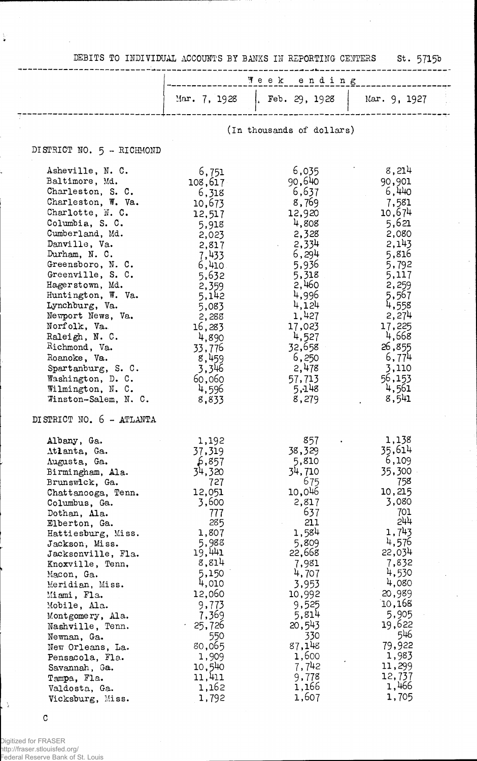DEBITS TO INDIVIDUAL ACCOUNTS BY BANKS IN REPORTING CENTERS St. 5715b

 $\hat{\mathcal{A}}$ 

 $\frac{1}{2}$ 

ý,

|                                                                                                                                                                                                                                                                                                                                                                                                                                                                                            | Week ending                                                                                                                                                                                                                                           |                                                                                                                                                                                                                                     |                                                                                                                                                                                                                                          |  |
|--------------------------------------------------------------------------------------------------------------------------------------------------------------------------------------------------------------------------------------------------------------------------------------------------------------------------------------------------------------------------------------------------------------------------------------------------------------------------------------------|-------------------------------------------------------------------------------------------------------------------------------------------------------------------------------------------------------------------------------------------------------|-------------------------------------------------------------------------------------------------------------------------------------------------------------------------------------------------------------------------------------|------------------------------------------------------------------------------------------------------------------------------------------------------------------------------------------------------------------------------------------|--|
|                                                                                                                                                                                                                                                                                                                                                                                                                                                                                            | Mar. $7, 1928$                                                                                                                                                                                                                                        | Feb. 29, 1928                                                                                                                                                                                                                       | Mar. 9, 1927                                                                                                                                                                                                                             |  |
|                                                                                                                                                                                                                                                                                                                                                                                                                                                                                            | (In thousands of dollars)                                                                                                                                                                                                                             |                                                                                                                                                                                                                                     |                                                                                                                                                                                                                                          |  |
| DISTRICT NO. 5 - RICHMOND                                                                                                                                                                                                                                                                                                                                                                                                                                                                  |                                                                                                                                                                                                                                                       |                                                                                                                                                                                                                                     |                                                                                                                                                                                                                                          |  |
| Asheville, N. C.<br>Baltimore, Md.<br>Charleston, S. C.<br>Charleston, W. Va.<br>Charlotte, N. C.<br>Columbia, S. C.<br>Cumberland, Md.<br>Danville, Va.<br>Durham, N. C.<br>Greensboro, N. C.<br>Greenville, S. C.<br>Hagerstown, Md.<br>Huntington, W. Va.<br>Lynchburg, Va.<br>Newport News, Va.<br>Norfolk, Va.<br>Raleigh, N. C.<br>Richmond, Va.<br>Roanoke, Va.<br>Spartanburg, S. C.<br>Washington, D. C.<br>Wilmington, N. C.<br>Winston-Salem, N. C.<br>DISTRICT NO. 6 - ATLANTA | 6,751<br>108,617<br>6,318<br>10,673<br>12,517<br>5,918<br>2,023<br>2,817<br>7,433<br>6,410<br>5,632<br>2,359<br>5,142<br>5,083<br>2,288<br>16,283<br>4,890<br>33,776<br>8,459<br>3,346<br>60,060<br>4,596<br>8,833                                    | 6,035<br>90,640<br>6,637<br>8,769<br>12,920<br>4,808<br>2,328<br>2,334<br>6,294<br>5,936<br>5,318<br>2,460<br>4,996<br>4,124<br>1,427<br>17,023<br>4,527<br>32,658<br>6,250<br>2,478<br>57,713<br>5,148<br>8,279                    | 8,214<br>90,901<br>6,440<br>7,581<br>10,674<br>5,621<br>2,080<br>2,143<br>5,816<br>5,792<br>5,117<br>2,259<br>5,567<br>4,558<br>2,274<br>17,225<br>4,668<br>26,855<br>6,774<br>3,110<br>56,153<br>4,561<br>8,541                         |  |
| Albany, Ga.<br>Atlanta, Ga.<br>Augusta, Ga.<br>Birmingham, Ala.<br>Brunswick, Ga.<br>Chattanooga, Tenn.<br>Columbus, Ga.<br>Dothan, Ala.<br>Elberton, Ga.<br>Hattiesburg, Miss.<br>Jackson, Miss.<br>Jacksonville, Fla.<br>Knoxville, Tenn,<br>Macon, Ga.<br>Meridian, Miss.<br>Miami, Fla.<br>Mobile, Ala.<br>Montgomery, Ala.<br>Nashville, Tenn.<br>Newnan, Ga.<br>New Orleans, La.<br>Pensacola, Fla.<br>Savannah, Ga.<br>Tampa, Fla.<br>Valdosta, Ga.<br>Vicksburg, Miss.             | 1,192<br>37,319<br>\$,857<br>34,320<br>727<br>12,051<br>3,600<br>777<br>285<br>1,807<br>5,988<br>19,441<br>8,814<br>5,150<br>4,010<br>12,060<br>9,773<br>7,369<br>25,726<br>$\bullet$<br>550<br>80,065<br>1,909<br>10,540<br>11,411<br>1,162<br>1,792 | 857<br>38,329<br>5,810<br>34,710<br>675<br>10,046<br>2,817<br>637<br>211<br>1,584<br>5,809<br>22,668<br>7,981<br>4,707<br>3,953<br>10,992<br>9,525<br>5,814<br>20,543<br>330<br>87,148<br>1,600<br>7,742<br>9,778<br>1,166<br>1,607 | 1,138<br>35,614<br>6,109<br>35,300<br>758<br>10,215<br>3,080<br>701<br>544<br>1,743<br>4,576<br>22,034<br>7,832<br>4,530<br>4,080<br>20,989<br>10,168<br>5,905<br>19,622<br>546<br>79,922<br>1,983<br>11,299<br>12,737<br>1,466<br>1,705 |  |

 $\mathtt{C}$ 

 $\left\lfloor \frac{n}{2} \right\rfloor$ 

 $\frac{1}{2}$ 

Digitized for FRASER http://fraser.stlouisfed.org/ Federal Reserve Bank of St. Louis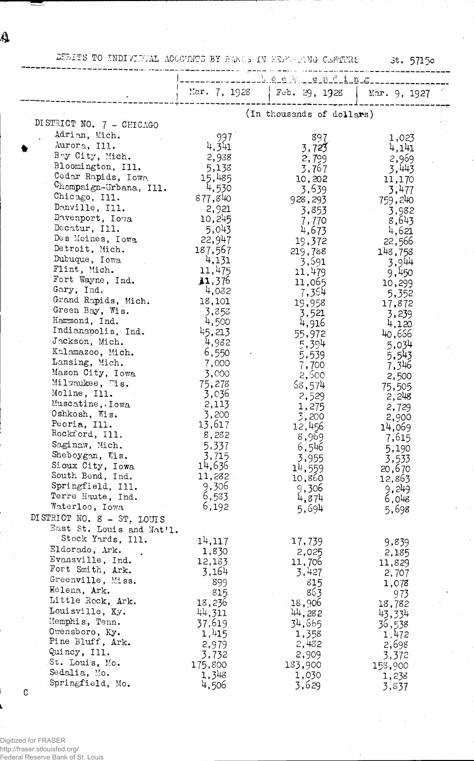Ą

## DELTS TO INDIVIDUAL ACCOUNTS BY BANCS IN EEPARTING CENTERS

3t. 5715c

|                                       |                  | Mar. 7, 1928   Feb. 29, 1928 | Mar. 9, 1927    |  |
|---------------------------------------|------------------|------------------------------|-----------------|--|
|                                       |                  |                              |                 |  |
|                                       |                  | (In thousands of dollars)    |                 |  |
| DISTRICT NO. 7 - CHICAGO              |                  |                              |                 |  |
| Adrian, Mich.                         | 997              | 897                          | 1,023           |  |
| Aurora, Ill.                          | 4,341            | 3,723                        | 4,141           |  |
| Bay City, Mich.<br>Bloomington, Ill.  | 2,938            | 2,799                        | 2,969           |  |
| Cedar Rapids, Iowa                    | 5,138            | 3,767                        | 3,443           |  |
| Champaign-Urbana, Ill.                | 15,485<br>4,530  | 10,202                       | 11,170          |  |
| Chicago, Ill.                         | 877,840          | 3,639                        | 3,477           |  |
| Danville, Ill.                        | 2,921            | 928,293                      | 759,240         |  |
| Davenport, Iowa                       | 10,245           | 3,853                        | 3,982<br>8,643  |  |
| Decatur, Ill.                         | 5,043            | 7,770<br>4,673               | 4,621           |  |
| Des Moines, Iowa                      | 22,947           | 19,372                       | 22,566          |  |
| Detroit, Mich.                        | 187,567          | 219,788                      | 148,758         |  |
| Dubuque, Iowa                         | 4,131            | 3,591                        | 3,944           |  |
| Flint, Mich.                          | 11,475           | 11,479                       | 9,450           |  |
| Fort Wayne, Ind.                      | 31,376           | 11,065                       | 10,299          |  |
| Gary, Ind.                            | 4,032            | 7,364                        | 5,352           |  |
| Grand Rapids, Mich.                   | 18,101           | 19,958                       | 17,872          |  |
| Green Bay, Wis.                       | 3,853            | 3,521                        | 3,239           |  |
| Hammond, Ind.<br>Indianapolis, Ind.   | 4,500            | 4,916                        | 4,120           |  |
| Jackson, Mich.                        | 45,213           | 55,972                       | 40,666          |  |
| Kalamazoo, Mich.                      | 4,982<br>6,550   | 5,394                        | 5,034           |  |
| Lansing, Mich.                        | 7,000            | 5,539                        | 5,543           |  |
| Mason City, Iowa                      | 3,000            | 7,700<br>2,500               | 7,346           |  |
| Milwaukee, Wis.                       | 75,278           | 58,574                       | 2,500<br>75,505 |  |
| Moline, Ill.                          | 3,036            | 2,529                        | 2,248           |  |
| Muscatine, . Iowa                     | 2,113            | 1,275                        | 2,729           |  |
| Oshkosh, Wis.                         | 3,200            | 3,200                        | 2,900           |  |
| Peoria, Ill.                          | 13,617           | 12,456                       | 14,069          |  |
| Rockford, Ill.                        | 8,282            | 8,969                        | 7,615           |  |
| Saginaw, Mich.                        | 5,337            | 6,546                        | 5,190           |  |
| Sheboygan, Wis.                       | 3,715            | 3,955                        | 3,533           |  |
| Sioux City, Iowa                      | 14,636           | 14,559                       | 20,670          |  |
| South Bend, Ind.<br>Springfield, Ill. | 11,282           | 10,860                       | 12,863          |  |
| Terre Haute, Ind.                     | 9,306<br>6,533   | 9,306                        | 9,249           |  |
| Waterloo, Iowa                        | 6,192            | 4,874<br>5,694               | 6,048           |  |
| DISTRICT NO. 8 - ST. LOUIS            |                  |                              | 5,698           |  |
| East St. Louis and Nat'l.             |                  |                              |                 |  |
| Stock Yards, Ill.                     | 14,117           | 17,739                       |                 |  |
| Eldorado, Ark.                        | 1,830            | 2,025                        | 9,839<br>2,185  |  |
| Evansville, Ind.                      | 12,183           | 11,706                       | 11,829          |  |
| Fort Smith, Ark.                      | 3,164            | 3,427                        | 2,707           |  |
| Greenville, Miss.                     | 899              | 815                          | 1,078           |  |
| Helena, Ark.                          | 815              | 863                          | 973             |  |
| Little Rock, Ark.                     | 18,236           | 18,906                       | 18,782          |  |
| Louisville, Ky.                       | 44,311           | 44,282                       | 43,334          |  |
| Memphis, Tenn.                        | 37,619           | 34,665                       | 36,538          |  |
| Owensboro, Ky.                        | 1,415            | 1,358                        | 1,472           |  |
| Pine Bluff, Ark.<br>Quincy, Ill.      | 2,979            | 2,432                        | 2,698           |  |
| St. Louis, Mo.                        | 3,732            | 2,909                        | 3,372           |  |
| Sedalia, Mo.                          | 175,800<br>1,348 | 133,900                      | 158,900         |  |
| Springfield, Mo.                      | 4,506            | 1,030<br>3,629               | 1,238<br>3,837  |  |
|                                       |                  |                              |                 |  |

 $\mathtt{C}$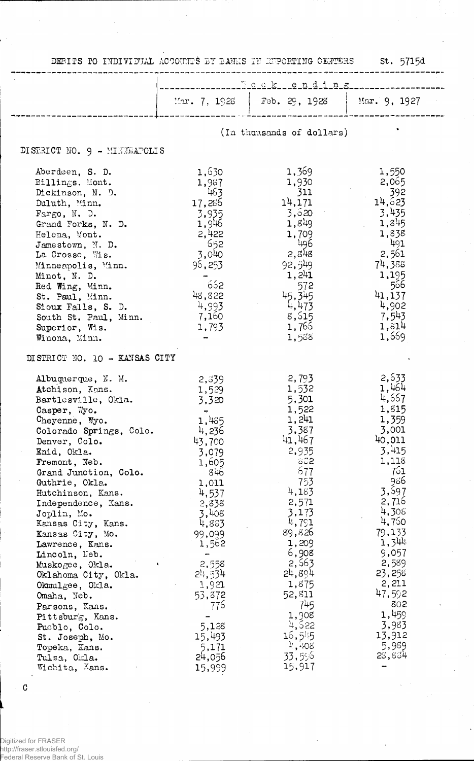DEBITS TO INDIVIDUAL ACCOUNTS BY BANKS IN REPORTING CENTERS St. 5715d

 $\ddot{\phantom{a}}$ 

|                                                                                                                                                                                                                                                                                                                                                                                                                                                                                                                                                                         | <u> Teek ending</u>                                                                                                                                                                                                                                                   |                                                                                                                                                                                                                                                                                             |                                                                                                                                                                                                                                                          |  |
|-------------------------------------------------------------------------------------------------------------------------------------------------------------------------------------------------------------------------------------------------------------------------------------------------------------------------------------------------------------------------------------------------------------------------------------------------------------------------------------------------------------------------------------------------------------------------|-----------------------------------------------------------------------------------------------------------------------------------------------------------------------------------------------------------------------------------------------------------------------|---------------------------------------------------------------------------------------------------------------------------------------------------------------------------------------------------------------------------------------------------------------------------------------------|----------------------------------------------------------------------------------------------------------------------------------------------------------------------------------------------------------------------------------------------------------|--|
|                                                                                                                                                                                                                                                                                                                                                                                                                                                                                                                                                                         | $\text{Var. } 7, 1926$                                                                                                                                                                                                                                                | Feb. $29, 1928$                                                                                                                                                                                                                                                                             | Mar. 9, 1927                                                                                                                                                                                                                                             |  |
|                                                                                                                                                                                                                                                                                                                                                                                                                                                                                                                                                                         | (In thousands of dollars)                                                                                                                                                                                                                                             |                                                                                                                                                                                                                                                                                             |                                                                                                                                                                                                                                                          |  |
| DISTRICT NO. 9 - MINTELPOLIS                                                                                                                                                                                                                                                                                                                                                                                                                                                                                                                                            |                                                                                                                                                                                                                                                                       |                                                                                                                                                                                                                                                                                             |                                                                                                                                                                                                                                                          |  |
| Aberdeen, S. D.<br>Billings, Mont.<br>Dickinson, N. D.<br>Duluth, Minn.<br>Fargo, N. D.<br>Grand Forks, N. D.<br>Helena, Mont.<br>Jamestown, N. D.<br>La Crosse, Wis.<br>Minneapolis, Minn.<br>Minot, N. D.<br>Red Wing, Minn.<br>St. Paul, Minn.<br>Sioux Falls, S. D.<br>South St. Paul, Minn.<br>Superior, Wis.<br>Winona, Minn.                                                                                                                                                                                                                                     | 1,630<br>1,987<br>463<br>17,286<br>3,935<br>1,946<br>2,422<br>652<br>3,040<br>96,253<br>652<br>48,822<br>4,993<br>7,160<br>1,793                                                                                                                                      | 1,369<br>1,930<br>311<br>14, 171<br>3,520<br>1,849<br>1,709<br>496<br>2,848<br>92,549<br>1,241<br>572<br>45.345<br>4,473<br>8,515<br>1,766<br>1,538                                                                                                                                         | 1,550<br>2,065<br>392<br>14,623<br>3,435<br>1,845<br>1,838<br>491<br>2,561<br>74,388<br>1,195<br>566<br>41,137<br>4,902<br>7,543<br>1,814<br>1,669                                                                                                       |  |
| DISTRICT NO. 10 - KANSAS CITY                                                                                                                                                                                                                                                                                                                                                                                                                                                                                                                                           |                                                                                                                                                                                                                                                                       |                                                                                                                                                                                                                                                                                             |                                                                                                                                                                                                                                                          |  |
| Albuquerque, N. M.<br>Atchison, Kans.<br>Bartlesville, Okla.<br>Casper, Wo.<br>Cheyenne, Wyo.<br>Colorado Springs, Colo.<br>Denver, Colo.<br>Enid, Okla.<br>Fremont, Neb.<br>Grand Junction, Colo.<br>Guthrie, Okla.<br>Hutchinson, Kans.<br>Independence, Kans.<br>Joplin, Mo.<br>Kansas City, Kans.<br>Kansas City, Mo.<br>Lawrence, Kans.<br>Lincoln, Neb.<br>Muskogee, Okla.<br>Oklahoma City, Okla.<br>Okmulgee, Okla.<br>Omaha, Neb.<br>Parsons, Kans.<br>Pittsburg, Kans.<br>Pueblo, Colo.<br>St. Joseph, Mo.<br>Topeka, Kans.<br>Tulsa, Okla.<br>Wichita, Kans. | 2,339<br>1,529<br>3,320<br>$\overline{\phantom{a}}$<br>1,435<br>4,236<br>43,700<br>3,079<br>1,605<br>846<br>1,011<br>4,537<br>2,838<br>3,408<br>4,853<br>99,099<br>1,562<br>2,558<br>24,534<br>1,921<br>53,872<br>776<br>5,128<br>15,493<br>5,171<br>24,056<br>15,999 | 2,793<br>1,532<br>5,301<br>1,522<br>1,241<br>3,387<br>41,467<br>2,935<br>802<br>677<br>753<br>4,183<br>2,571<br>3,173<br>4,791<br>89,826<br>1,209<br>6,908<br>2,563<br>24,894<br>1,875<br>52,811<br>745<br>1,908<br>4,522<br>$15,5$ <sup>1</sup><br>$^{11}$ , $^{1108}$<br>33,596<br>15,917 | 2,633<br>1,464<br>4,657<br>1,815<br>1,359<br>3,001<br>40,011<br>3,415<br>1,118<br>761<br>986<br>3,597<br>2,716<br>4,305<br>4,750<br>79,133<br>1,344<br>9,057<br>2,589<br>23,258<br>2,211<br>47,592<br>802<br>1,459<br>3,983<br>13,912<br>5,989<br>28,834 |  |

 $\mathtt{C}$ 

Digitized for FRASER<br>http://fraser.stlouisfed.org/<br>Federal Reserve Bank of St. Louis